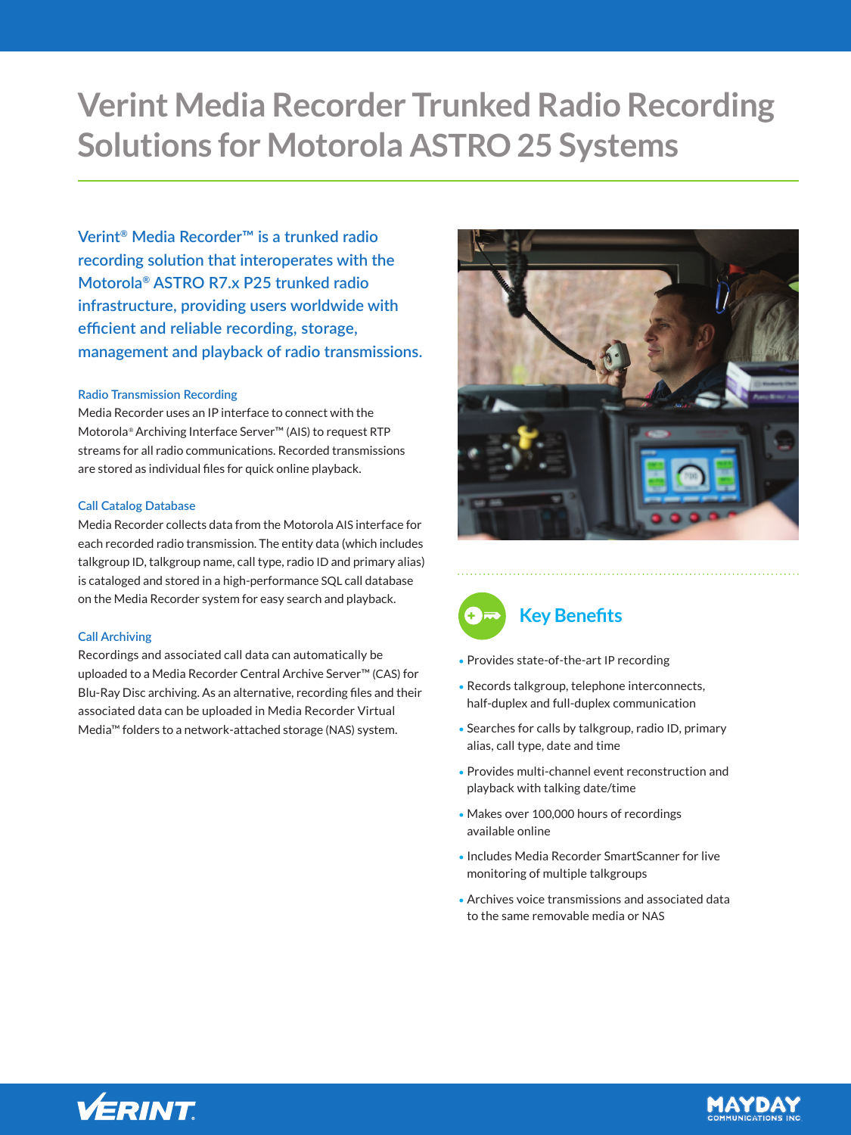# **Verint Media Recorder Trunked Radio Recording Solutions for Motorola ASTRO 25 Systems**

**Verint® Media Recorder™ is a trunked radio recording solution that interoperates with the Motorola® ASTRO R7.x P25 trunked radio infrastructure, providing users worldwide with efficient and reliable recording, storage, management and playback of radio transmissions.**

## **Radio Transmission Recording**

Media Recorder uses an IP interface to connect with the Motorola® Archiving Interface Server™ (AIS) to request RTP streams for all radio communications. Recorded transmissions are stored as individual files for quick online playback.

#### **Call Catalog Database**

Media Recorder collects data from the Motorola AIS interface for each recorded radio transmission. The entity data (which includes talkgroup ID, talkgroup name, call type, radio ID and primary alias) is cataloged and stored in a high-performance SQL call database on the Media Recorder system for easy search and playback.

# **Call Archiving**

Recordings and associated call data can automatically be uploaded to a Media Recorder Central Archive Server™ (CAS) for Blu-Ray Disc archiving. As an alternative, recording files and their associated data can be uploaded in Media Recorder Virtual Media™ folders to a network-attached storage (NAS) system.





- Provides state-of-the-art IP recording
- Records talkgroup, telephone interconnects, half-duplex and full-duplex communication
- Searches for calls by talkgroup, radio ID, primary alias, call type, date and time
- Provides multi-channel event reconstruction and playback with talking date/time
- Makes over 100,000 hours of recordings available online
- Includes Media Recorder SmartScanner for live monitoring of multiple talkgroups
- Archives voice transmissions and associated data to the same removable media or NAS